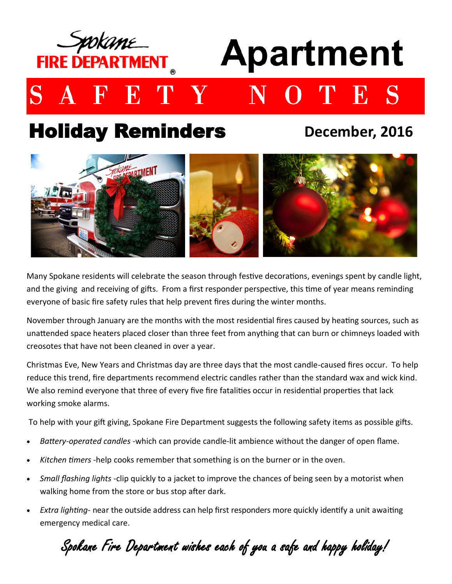

## Holiday Reminders

**December, 2016**



Many Spokane residents will celebrate the season through festive decorations, evenings spent by candle light, and the giving and receiving of gifts. From a first responder perspective, this time of year means reminding everyone of basic fire safety rules that help prevent fires during the winter months.

November through January are the months with the most residential fires caused by heating sources, such as unattended space heaters placed closer than three feet from anything that can burn or chimneys loaded with creosotes that have not been cleaned in over a year.

Christmas Eve, New Years and Christmas day are three days that the most candle-caused fires occur. To help reduce this trend, fire departments recommend electric candles rather than the standard wax and wick kind. We also remind everyone that three of every five fire fatalities occur in residential properties that lack working smoke alarms.

To help with your gift giving, Spokane Fire Department suggests the following safety items as possible gifts.

- *Battery-operated candles* -which can provide candle-lit ambience without the danger of open flame.
- *Kitchen timers* -help cooks remember that something is on the burner or in the oven.
- *Small flashing lights* -clip quickly to a jacket to improve the chances of being seen by a motorist when walking home from the store or bus stop after dark.
- *Extra lighting-* near the outside address can help first responders more quickly identify a unit awaiting emergency medical care.

Spokane Fire Department wishes each of you a safe and happy holiday!